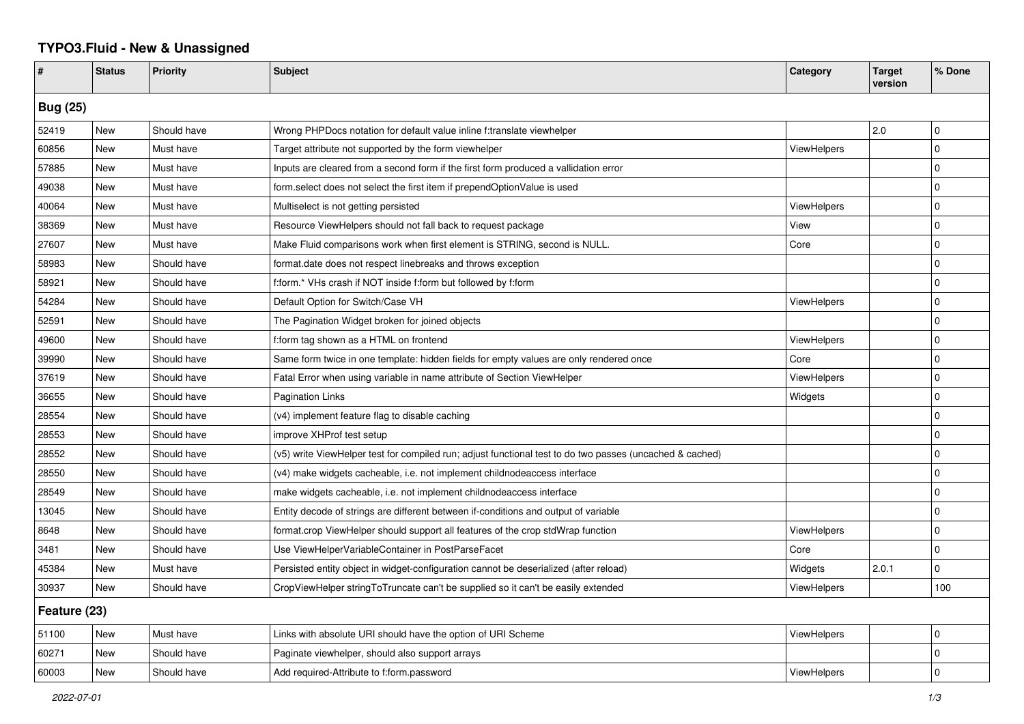## **TYPO3.Fluid - New & Unassigned**

| #               | <b>Status</b> | <b>Priority</b> | <b>Subject</b>                                                                                           | Category           | <b>Target</b><br>version | % Done      |  |  |
|-----------------|---------------|-----------------|----------------------------------------------------------------------------------------------------------|--------------------|--------------------------|-------------|--|--|
| <b>Bug (25)</b> |               |                 |                                                                                                          |                    |                          |             |  |  |
| 52419           | New           | Should have     | Wrong PHPDocs notation for default value inline f:translate viewhelper                                   |                    | 2.0                      | 0           |  |  |
| 60856           | New           | Must have       | Target attribute not supported by the form viewhelper                                                    | ViewHelpers        |                          | 0           |  |  |
| 57885           | New           | Must have       | Inputs are cleared from a second form if the first form produced a vallidation error                     |                    |                          | $\mathbf 0$ |  |  |
| 49038           | New           | Must have       | form select does not select the first item if prependOptionValue is used                                 |                    |                          | $\Omega$    |  |  |
| 40064           | New           | Must have       | Multiselect is not getting persisted                                                                     | ViewHelpers        |                          | $\mathbf 0$ |  |  |
| 38369           | New           | Must have       | Resource ViewHelpers should not fall back to request package                                             | View               |                          | $\mathbf 0$ |  |  |
| 27607           | New           | Must have       | Make Fluid comparisons work when first element is STRING, second is NULL.                                | Core               |                          | 0           |  |  |
| 58983           | New           | Should have     | format.date does not respect linebreaks and throws exception                                             |                    |                          | $\mathbf 0$ |  |  |
| 58921           | New           | Should have     | f:form.* VHs crash if NOT inside f:form but followed by f:form                                           |                    |                          | $\Omega$    |  |  |
| 54284           | New           | Should have     | Default Option for Switch/Case VH                                                                        | <b>ViewHelpers</b> |                          | 0           |  |  |
| 52591           | New           | Should have     | The Pagination Widget broken for joined objects                                                          |                    |                          | $\Omega$    |  |  |
| 49600           | <b>New</b>    | Should have     | f:form tag shown as a HTML on frontend                                                                   | <b>ViewHelpers</b> |                          | $\Omega$    |  |  |
| 39990           | <b>New</b>    | Should have     | Same form twice in one template: hidden fields for empty values are only rendered once                   | Core               |                          | $\mathbf 0$ |  |  |
| 37619           | New           | Should have     | Fatal Error when using variable in name attribute of Section ViewHelper                                  | ViewHelpers        |                          | $\Omega$    |  |  |
| 36655           | New           | Should have     | <b>Pagination Links</b>                                                                                  | Widgets            |                          | $\Omega$    |  |  |
| 28554           | <b>New</b>    | Should have     | (v4) implement feature flag to disable caching                                                           |                    |                          | $\Omega$    |  |  |
| 28553           | New           | Should have     | improve XHProf test setup                                                                                |                    |                          | $\Omega$    |  |  |
| 28552           | <b>New</b>    | Should have     | (v5) write ViewHelper test for compiled run; adjust functional test to do two passes (uncached & cached) |                    |                          | $\Omega$    |  |  |
| 28550           | New           | Should have     | (v4) make widgets cacheable, i.e. not implement childnodeaccess interface                                |                    |                          | $\Omega$    |  |  |
| 28549           | New           | Should have     | make widgets cacheable, i.e. not implement childnodeaccess interface                                     |                    |                          | $\Omega$    |  |  |
| 13045           | <b>New</b>    | Should have     | Entity decode of strings are different between if-conditions and output of variable                      |                    |                          | 0           |  |  |
| 8648            | <b>New</b>    | Should have     | format.crop ViewHelper should support all features of the crop stdWrap function                          | ViewHelpers        |                          | 0           |  |  |
| 3481            | <b>New</b>    | Should have     | Use ViewHelperVariableContainer in PostParseFacet                                                        | Core               |                          | $\Omega$    |  |  |
| 45384           | New           | Must have       | Persisted entity object in widget-configuration cannot be deserialized (after reload)                    | Widgets            | 2.0.1                    | $\Omega$    |  |  |
| 30937           | New           | Should have     | CropViewHelper stringToTruncate can't be supplied so it can't be easily extended                         | ViewHelpers        |                          | 100         |  |  |
| Feature (23)    |               |                 |                                                                                                          |                    |                          |             |  |  |
| 51100           | <b>New</b>    | Must have       | Links with absolute URI should have the option of URI Scheme                                             | ViewHelpers        |                          | $\mathbf 0$ |  |  |
| 60271           | New           | Should have     | Paginate viewhelper, should also support arrays                                                          |                    |                          | $\mathbf 0$ |  |  |
| 60003           | New           | Should have     | Add required-Attribute to f:form.password                                                                | ViewHelpers        |                          | $\Omega$    |  |  |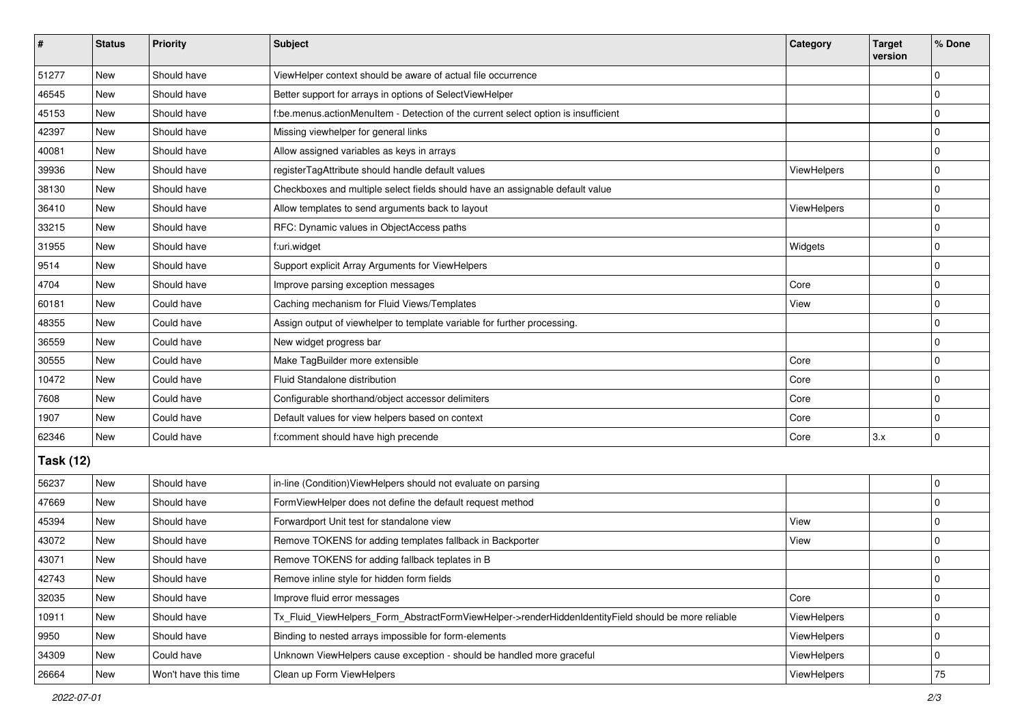| #                | <b>Status</b> | Priority             | <b>Subject</b>                                                                                      | Category    | <b>Target</b><br>version | % Done      |  |  |
|------------------|---------------|----------------------|-----------------------------------------------------------------------------------------------------|-------------|--------------------------|-------------|--|--|
| 51277            | New           | Should have          | ViewHelper context should be aware of actual file occurrence                                        |             |                          | $\mathbf 0$ |  |  |
| 46545            | New           | Should have          | Better support for arrays in options of SelectViewHelper                                            |             |                          | $\pmb{0}$   |  |  |
| 45153            | New           | Should have          | f:be.menus.actionMenuItem - Detection of the current select option is insufficient                  |             |                          | $\mathbf 0$ |  |  |
| 42397            | New           | Should have          | Missing viewhelper for general links                                                                |             |                          | 0           |  |  |
| 40081            | New           | Should have          | Allow assigned variables as keys in arrays                                                          |             |                          | 0           |  |  |
| 39936            | New           | Should have          | registerTagAttribute should handle default values                                                   | ViewHelpers |                          | $\mathbf 0$ |  |  |
| 38130            | New           | Should have          | Checkboxes and multiple select fields should have an assignable default value                       |             |                          | $\mathbf 0$ |  |  |
| 36410            | New           | Should have          | Allow templates to send arguments back to layout                                                    | ViewHelpers |                          | 0           |  |  |
| 33215            | New           | Should have          | RFC: Dynamic values in ObjectAccess paths                                                           |             |                          | $\mathbf 0$ |  |  |
| 31955            | New           | Should have          | f:uri.widget                                                                                        | Widgets     |                          | 0           |  |  |
| 9514             | New           | Should have          | Support explicit Array Arguments for ViewHelpers                                                    |             |                          | $\mathbf 0$ |  |  |
| 4704             | New           | Should have          | Improve parsing exception messages                                                                  | Core        |                          | $\mathbf 0$ |  |  |
| 60181            | New           | Could have           | Caching mechanism for Fluid Views/Templates                                                         | View        |                          | $\mathbf 0$ |  |  |
| 48355            | New           | Could have           | Assign output of viewhelper to template variable for further processing.                            |             |                          | $\mathbf 0$ |  |  |
| 36559            | New           | Could have           | New widget progress bar                                                                             |             |                          | 0           |  |  |
| 30555            | New           | Could have           | Make TagBuilder more extensible                                                                     | Core        |                          | $\mathbf 0$ |  |  |
| 10472            | New           | Could have           | Fluid Standalone distribution                                                                       | Core        |                          | $\mathbf 0$ |  |  |
| 7608             | New           | Could have           | Configurable shorthand/object accessor delimiters                                                   | Core        |                          | $\mathbf 0$ |  |  |
| 1907             | New           | Could have           | Default values for view helpers based on context                                                    | Core        |                          | $\mathbf 0$ |  |  |
| 62346            | <b>New</b>    | Could have           | f:comment should have high precende                                                                 | Core        | 3.x                      | $\mathbf 0$ |  |  |
| <b>Task (12)</b> |               |                      |                                                                                                     |             |                          |             |  |  |
| 56237            | New           | Should have          | in-line (Condition) View Helpers should not evaluate on parsing                                     |             |                          | $\mathbf 0$ |  |  |
| 47669            | New           | Should have          | FormViewHelper does not define the default request method                                           |             |                          | $\mathbf 0$ |  |  |
| 45394            | New           | Should have          | Forwardport Unit test for standalone view                                                           | View        |                          | $\mathbf 0$ |  |  |
| 43072            | New           | Should have          | Remove TOKENS for adding templates fallback in Backporter                                           | View        |                          | $\mathbf 0$ |  |  |
| 43071            | New           | Should have          | Remove TOKENS for adding fallback teplates in B                                                     |             |                          | $\mathbf 0$ |  |  |
| 42743            | New           | Should have          | Remove inline style for hidden form fields                                                          |             |                          | 0           |  |  |
| 32035            | New           | Should have          | Improve fluid error messages                                                                        | Core        |                          | $\mathbf 0$ |  |  |
| 10911            | New           | Should have          | Tx_Fluid_ViewHelpers_Form_AbstractFormViewHelper->renderHiddenIdentityField should be more reliable | ViewHelpers |                          | 0           |  |  |
| 9950             | New           | Should have          | Binding to nested arrays impossible for form-elements                                               | ViewHelpers |                          | 0           |  |  |
| 34309            | New           | Could have           | Unknown ViewHelpers cause exception - should be handled more graceful                               | ViewHelpers |                          | 0           |  |  |
| 26664            | New           | Won't have this time | Clean up Form ViewHelpers                                                                           | ViewHelpers |                          | $75\,$      |  |  |